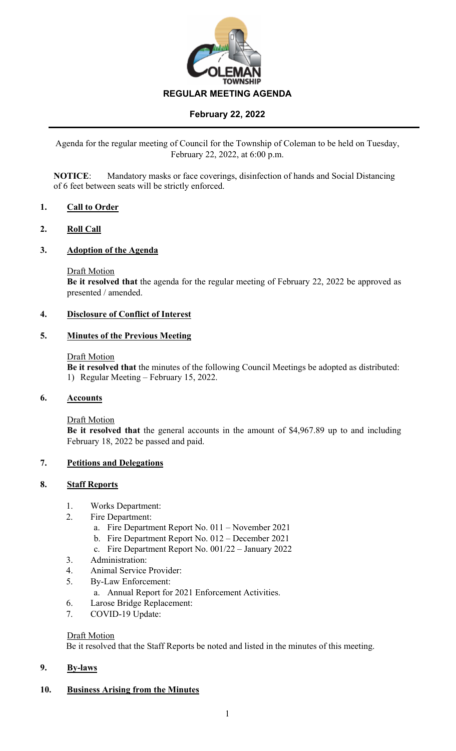

# **February 22, 2022**

Agenda for the regular meeting of Council for the Township of Coleman to be held on Tuesday, February 22, 2022, at 6:00 p.m.

**NOTICE**: Mandatory masks or face coverings, disinfection of hands and Social Distancing of 6 feet between seats will be strictly enforced.

## **1. Call to Order**

### **2. Roll Call**

### **3. Adoption of the Agenda**

#### Draft Motion

**Be it resolved that** the agenda for the regular meeting of February 22, 2022 be approved as presented / amended.

### **4. Disclosure of Conflict of Interest**

#### **5. Minutes of the Previous Meeting**

#### Draft Motion

**Be it resolved that** the minutes of the following Council Meetings be adopted as distributed: 1) Regular Meeting – February 15, 2022.

### **6. Accounts**

Draft Motion

**Be it resolved that** the general accounts in the amount of \$4,967.89 up to and including February 18, 2022 be passed and paid.

#### **7. Petitions and Delegations**

#### **8. Staff Reports**

- 1. Works Department:
- 2. Fire Department:
	- a. Fire Department Report No. 011 November 2021
	- b. Fire Department Report No. 012 December 2021
	- c. Fire Department Report No. 001/22 January 2022
- 3. Administration:
- 4. Animal Service Provider:
- 5. By-Law Enforcement:
	- a. Annual Report for 2021 Enforcement Activities.
- 6. Larose Bridge Replacement:
- 7. COVID-19 Update:

#### Draft Motion

Be it resolved that the Staff Reports be noted and listed in the minutes of this meeting.

#### **9. By-laws**

#### **10. Business Arising from the Minutes**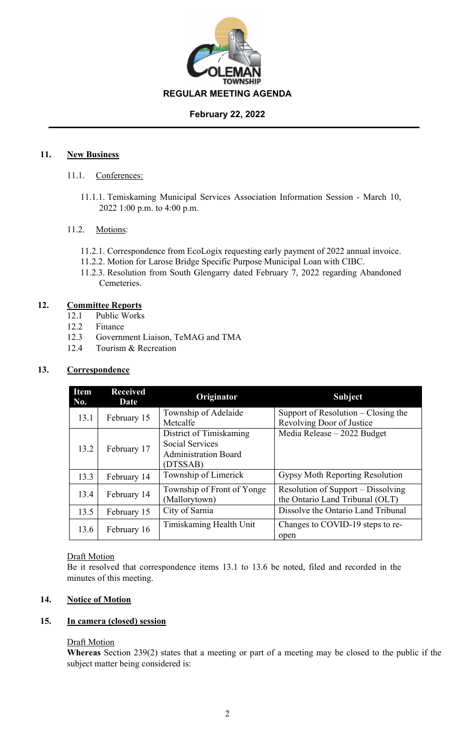

## **February 22, 2022**

## **11. New Business**

- 11.1. Conferences:
	- 11.1.1. Temiskaming Municipal Services Association Information Session March 10, 2022 1:00 p.m. to 4:00 p.m.

## 11.2. Motions:

- 11.2.1. Correspondence from EcoLogix requesting early payment of 2022 annual invoice.
- 11.2.2. Motion for Larose Bridge Specific Purpose Municipal Loan with CIBC.
- 11.2.3. Resolution from South Glengarry dated February 7, 2022 regarding Abandoned Cemeteries.

## **12. Committee Reports**

- 12.1 Public Works
- 12.2 Finance
- 12.3 Government Liaison, TeMAG and TMA
- 12.4 Tourism & Recreation

# **13. Correspondence**

| <b>Item</b><br>No. | <b>Received</b><br>Date | Originator                                                                                   | <b>Subject</b>                                                        |
|--------------------|-------------------------|----------------------------------------------------------------------------------------------|-----------------------------------------------------------------------|
| 13.1               | February 15             | Township of Adelaide<br>Metcalfe                                                             | Support of Resolution $-$ Closing the<br>Revolving Door of Justice    |
| 13.2               | February 17             | District of Timiskaming<br><b>Social Services</b><br><b>Administration Board</b><br>(DTSSAB) | Media Release - 2022 Budget                                           |
| 13.3               | February 14             | Township of Limerick                                                                         | Gypsy Moth Reporting Resolution                                       |
| 13.4               | February 14             | Township of Front of Yonge<br>(Mallorytown)                                                  | Resolution of Support – Dissolving<br>the Ontario Land Tribunal (OLT) |
| 13.5               | February 15             | City of Sarnia                                                                               | Dissolve the Ontario Land Tribunal                                    |
| 13.6               | February 16             | Timiskaming Health Unit                                                                      | Changes to COVID-19 steps to re-<br>open                              |

## **Draft Motion**

Be it resolved that correspondence items 13.1 to 13.6 be noted, filed and recorded in the minutes of this meeting.

# **14. Notice of Motion**

## **15. In camera (closed) session**

## Draft Motion

**Whereas** Section 239(2) states that a meeting or part of a meeting may be closed to the public if the subject matter being considered is: